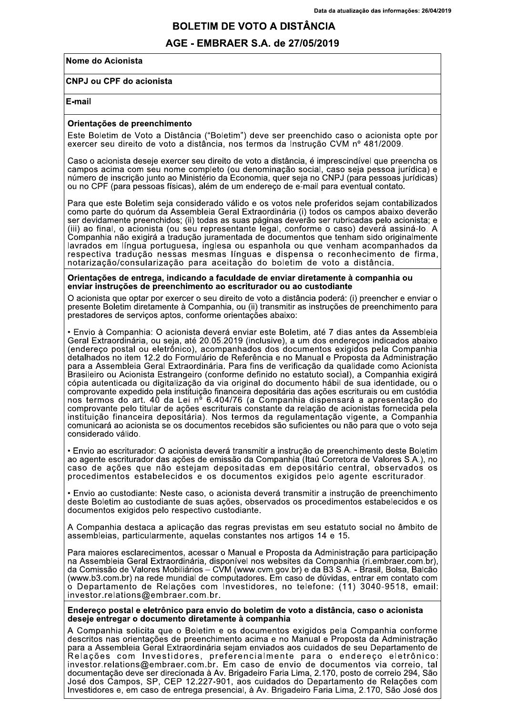# Data da atualização das informações:<br>
BOLETIM DE VOTO A DISTÂNCIA<br>
AGE - EMBRAER S.A. de 27/05/2019<br>
a<br>
mento

### AGE - EMBRAER S.A. de 27/05/2019

### Nome do Acionista

### **CNPJ ou CPF do acionista**

### E-mail

## Orientações de preencnimento

BO<br>
AGE<br>
Nome do Acionista<br>
CNPJ ou CPF do acionista<br>
E-mail<br>
Orientações de preenchiment<br>
Este Boletim de Voto a Distâr<br>
exercer seu direito de voto a<br>
Caso o acionista deseje exercer<br>
caso o acionista deseje exercer Este Boletim de Voto a Distância ("Boletim") deve ser preenchido caso o acionista opte por<br>exercer seu direito de voto a distância, nos termos da Instrução CVM nº 481/2009.

Caso o acionista deseje exercer seu direito de voto a distância, é imprescindível que preencha os<br>campos acima com seu nome completo (ou denominação social, caso seja pessoa jurídica) e<br>número de inscrição junto ao Ministé ou no CPF (para pessoas físicas), além de um endereço de e-mail para eventual contato.

Para que este Boletim seja considerado válido e os votos nele proferidos sejam contabilizados<br>como parte do quórum da Assembleia Geral Extraordinária (i) todos os campos abaixo deverão<br>ser devidamente preenchidos; (ii) tod lavrados em língua portuguesa, inglesa ou espanhola ou que venham acompanhados da<br>respectiva tradução nessas mesmas línguas e dispensa o reconhecimento de firma, notarização/consularização para aceitação do boletim de voto a distância.

### Orientações de entrega, indicando a faculdade de enviar diretamente a compannia ou enviar instruções de preenchimento ao escriturador ou ao custodiante

O acionista que optar por exercer o seu direito de voto a distância poderá: (i) preencher e enviar o<br>presente Boletim diretamente à Companhia, ou (ii) transmitir as instruções de preenchimento para prestadores de serviços aptos, conforme orientações abaixo:

• Envio à Companhia: O acionista deverá enviar este Boletim, até 7 dias antes da Assembleia<br>Geral Extraordinária, ou seja, até 20.05.2019 (inclusive), a um dos endereços indicados abaixo (endereço postal ou eletrônico), acompanhados dos documentos exigidos pela Companhia detalhados no item 12.2 do Formulário de Referência e no Manual e Proposta da Administração<br>para a Assembleia Geral Extraordinária. Para fins de verificação da qualidade como Acionista Brasileiro ou Acionista Estrangeiro (conforme definido no estatuto social), a Companhia exigirá<br>cópia autenticada ou digitalização da via original do documento hábil de sua identidade, ou o copia autenticada ou digitalização da via original do documento nabil de sua identidade, ou o<br>comprovante expedido pela instituição financeira depositária das ações escriturais ou em custódia nos termos do art. 40 da Lei nº 6.404/76 (a Compannia dispensara a apresentação do<br>comprovante pelo titular de ações escriturais constante da relação de acionistas fornecida pela instituição financeira depositária). Nos termos da regulamentação vigente, a Companhia<br>comunicará ao acionista se os documentos recebidos são suficientes ou não para que o voto seja considerado válido.

• Envio ao escriturador: O acionista deverá transmitir a instrução de preenchimento deste Boletim<br>ao agente escriturador das ações de emissão da Companhia (Itaú Corretora de Valores S.A.), no caso de ações que não estejam depositadas em depositário central, observados os procedimentos estabelecidos e os documentos exigidos pelo agente escriturador.

Survio ao custodiante: Neste caso, o acionista deverá transmitir a instrução de preenchimento<br>deste Boletim ao custodiante de suas ações, observados os procedimentos estabelecidos e os documentos exigidos pelo respectivo custodiante.

A Companhia destaca a aplicação das regras previstas em seu estatuto social no âmbito de<br>assembleias, particularmente, aquelas constantes nos artigos 14 e 15.

Para maiores esclarecimentos, acessar o Manual e Proposta da Administração para participação na Assembleia Geral Extraordinária, disponível nos websites da Companhia (ri.embraer.com.br), da Comissão de Valores Mobiliários - CVM (www.cvm.gov.br) e da B3 S.A. - Brasil, Bolsa, Balcão (www.b3.com.br) na rede mundial de computadores. Em caso de dúvidas, entrar em contato com ò Departamento de Relações com Investidores, no telefone: (11) 3040-9518, email:<br>investor.relations@embraer.com.br.

Endereço postal e eletronico para envio do boletim de voto a distancia, caso o acionista<br>deseje entregar o documento diretamente à companhia regar o documento diretamente a compannia

A Companhia solicita que o Boletim e os documentos exigidos pela Companhia conforme<br>descritos nas orientações de preenchimento acima e no Manual e Proposta da Administração<br>para a Assembleia Geral Extraordinária sejam envi para merimentu este matematurale egan etatuare eta eta eta ezpertutu ez.<br>Relações com Investidores, preferencialmente para o endereço eletrônico: investor.relations@embraer.com.br. Em caso de envio de documentos via correio, tal<br>documentação deve ser direcionada à Av. Brigadeiro Faria Lima, 2.170, posto de correio 294, São ECOMMINIS SE DICES SP, CEP 12.227-901, aos cuidados do Departamento de Relações com Investidores e, em caso de entrega presencial, à Av. Brigadeiro Faria Lima, 2.170, São José dos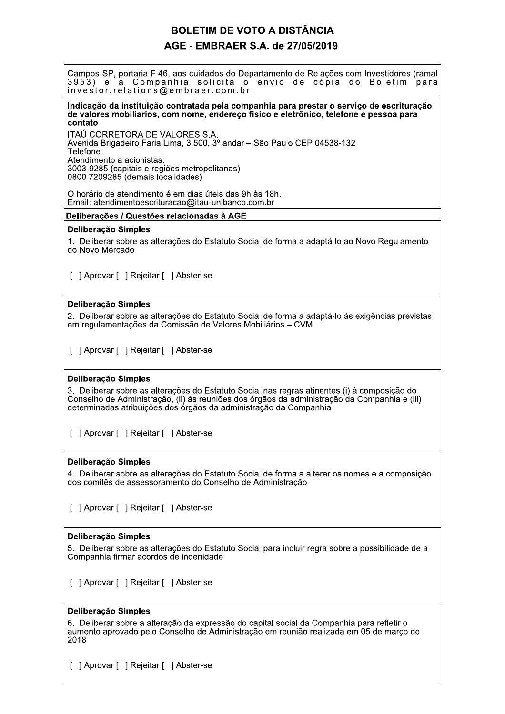# **BOLETIM DE VOTO A DISTÂNCIA** AGE - EMBRAER S.A. de 27/05/2019

Campos-SP, portaria F 46, aos cuidados do Departamento de Relações com Investidores (ramal 3953) e a Companhia solicita o envio de cópia do Boletim para investor.relations@embraer.com.br.

### Indicação da instituição contratada pela companhia para prestar o serviço de escrituração de valores mobiliarios, com nome, endereco fisico e eletrônico, telefone e pessoa para contato

ITAÚ CORRETORA DE VALORES S.A. Avenida Brigadeiro Faria Lima, 3.500, 3º andar - São Paulo CEP 04538-132 Telefone Atendimento a acionistas: 3003-9285 (capitais e regiões metropolitanas) 0800 7209285 (demais localidades)

O horário de atendimento é em dias úteis das 9h às 18h. Email: atendimentoescrituracao@itau-unibanco.com.br

### Deliberações / Questões relacionadas à AGE

### Deliberacão Simples

1. Deliberar sobre as alterações do Estatuto Social de forma a adaptá-lo ao Novo Regulamento do Novo Mercado

[ ] Aprovar [ ] Rejeitar [ ] Abster-se

### Deliberação Simples

2. Deliberar sobre as alterações do Estatuto Social de forma a adaptá-lo às exigências previstas em regulamentações da Comissão de Valores Mobiliários - CVM

[ ] Aprovar [ ] Rejeitar [ ] Abster-se

### Deliberação Simples

3. Deliberar sobre as alterações do Estatuto Social nas regras atinentes (i) à composição do Conselho de Administração, (ii) às reuniões dos órgãos da administração da Companhia e (iii) determinadas atribuições dos órgãos da administração da Companhia

[ ] Aprovar [ ] Reieitar [ ] Abster-se

### Deliberação Simples

4. Deliberar sobre as alterações do Estatuto Social de forma a alterar os nomes e a composição dos comitês de assessoramento do Conselho de Administração

[ ] Aprovar [ ] Rejeitar [ ] Abster-se

### Deliberação Simples

5. Deliberar sobre as alterações do Estatuto Social para incluir regra sobre a possibilidade de a Companhia firmar acordos de indenidade

[ ] Aprovar [ ] Rejeitar [ ] Abster-se

### Deliberação Simples

6. Deliberar sobre a alteração da expressão do capital social da Companhia para refletir o aumento aprovado pelo Conselho de Administração em reunião realizada em 05 de março de 2018

[ ] Aprovar [ ] Rejeitar [ ] Abster-se